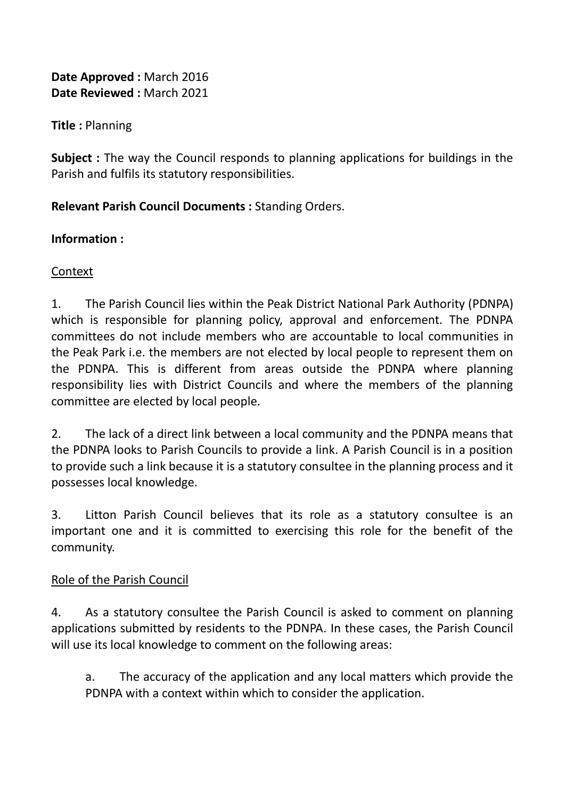**Date Approved :** March 2016 **Date Reviewed :** March 2021

**Title :** Planning

**Subject :** The way the Council responds to planning applications for buildings in the Parish and fulfils its statutory responsibilities.

## **Relevant Parish Council Documents :** Standing Orders.

### **Information :**

# Context

1. The Parish Council lies within the Peak District National Park Authority (PDNPA) which is responsible for planning policy, approval and enforcement. The PDNPA committees do not include members who are accountable to local communities in the Peak Park i.e. the members are not elected by local people to represent them on the PDNPA. This is different from areas outside the PDNPA where planning responsibility lies with District Councils and where the members of the planning committee are elected by local people.

2. The lack of a direct link between a local community and the PDNPA means that the PDNPA looks to Parish Councils to provide a link. A Parish Council is in a position to provide such a link because it is a statutory consultee in the planning process and it possesses local knowledge.

3. Litton Parish Council believes that its role as a statutory consultee is an important one and it is committed to exercising this role for the benefit of the community.

### Role of the Parish Council

4. As a statutory consultee the Parish Council is asked to comment on planning applications submitted by residents to the PDNPA. In these cases, the Parish Council will use its local knowledge to comment on the following areas:

a. The accuracy of the application and any local matters which provide the PDNPA with a context within which to consider the application.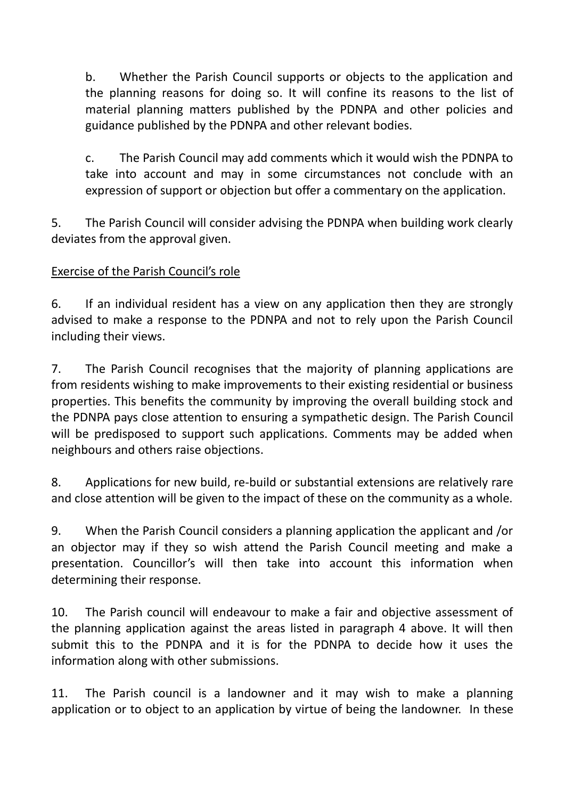b. Whether the Parish Council supports or objects to the application and the planning reasons for doing so. It will confine its reasons to the list of material planning matters published by the PDNPA and other policies and guidance published by the PDNPA and other relevant bodies.

c. The Parish Council may add comments which it would wish the PDNPA to take into account and may in some circumstances not conclude with an expression of support or objection but offer a commentary on the application.

5. The Parish Council will consider advising the PDNPA when building work clearly deviates from the approval given.

### Exercise of the Parish Council's role

6. If an individual resident has a view on any application then they are strongly advised to make a response to the PDNPA and not to rely upon the Parish Council including their views.

7. The Parish Council recognises that the majority of planning applications are from residents wishing to make improvements to their existing residential or business properties. This benefits the community by improving the overall building stock and the PDNPA pays close attention to ensuring a sympathetic design. The Parish Council will be predisposed to support such applications. Comments may be added when neighbours and others raise objections.

8. Applications for new build, re-build or substantial extensions are relatively rare and close attention will be given to the impact of these on the community as a whole.

9. When the Parish Council considers a planning application the applicant and /or an objector may if they so wish attend the Parish Council meeting and make a presentation. Councillor's will then take into account this information when determining their response.

10. The Parish council will endeavour to make a fair and objective assessment of the planning application against the areas listed in paragraph 4 above. It will then submit this to the PDNPA and it is for the PDNPA to decide how it uses the information along with other submissions.

11. The Parish council is a landowner and it may wish to make a planning application or to object to an application by virtue of being the landowner. In these